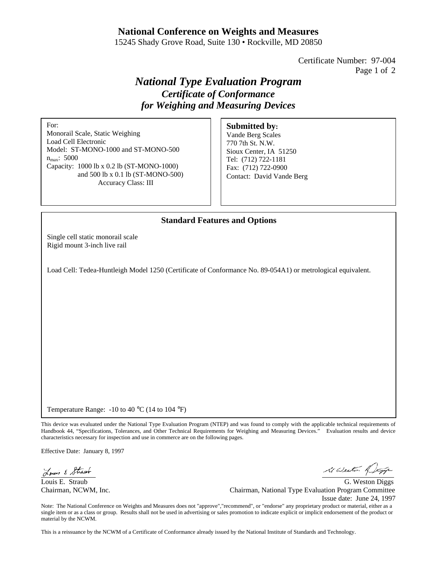## **National Conference on Weights and Measures**

15245 Shady Grove Road, Suite 130 • Rockville, MD 20850

Certificate Number: 97-004 Page 1 of 2

# *National Type Evaluation Program Certificate of Conformance for Weighing and Measuring Devices*

For:

Monorail Scale, Static Weighing Load Cell Electronic Model: ST-MONO-1000 and ST-MONO-500 n<sub>max</sub>: 5000 Capacity: 1000 lb x 0.2 lb (ST-MONO-1000) and 500 lb x 0.1 lb (ST-MONO-500) Accuracy Class: III

#### **Submitted by:**

Vande Berg Scales 770 7th St. N.W. Sioux Center, IA 51250 Tel: (712) 722-1181 Fax: (712) 722-0900 Contact: David Vande Berg

### **Standard Features and Options**

Single cell static monorail scale Rigid mount 3-inch live rail

Load Cell: Tedea-Huntleigh Model 1250 (Certificate of Conformance No. 89-054A1) or metrological equivalent.

Temperature Range: -10 to 40 °C (14 to 104 °F)

This device was evaluated under the National Type Evaluation Program (NTEP) and was found to comply with the applicable technical requirements of Handbook 44, "Specifications, Tolerances, and Other Technical Requirements for Weighing and Measuring Devices." Evaluation results and device characteristics necessary for inspection and use in commerce are on the following pages.

Effective Date: January 8, 1997

Louis & Strawb

it Weston of

Louis E. Straub G. Weston Diggs Chairman, NCWM, Inc. Chairman, National Type Evaluation Program Committee Issue date: June 24, 1997

Note: The National Conference on Weights and Measures does not "approve","recommend", or "endorse" any proprietary product or material, either as a single item or as a class or group. Results shall not be used in advertising or sales promotion to indicate explicit or implicit endorsement of the product or material by the NCWM.

This is a reissuance by the NCWM of a Certificate of Conformance already issued by the National Institute of Standards and Technology.